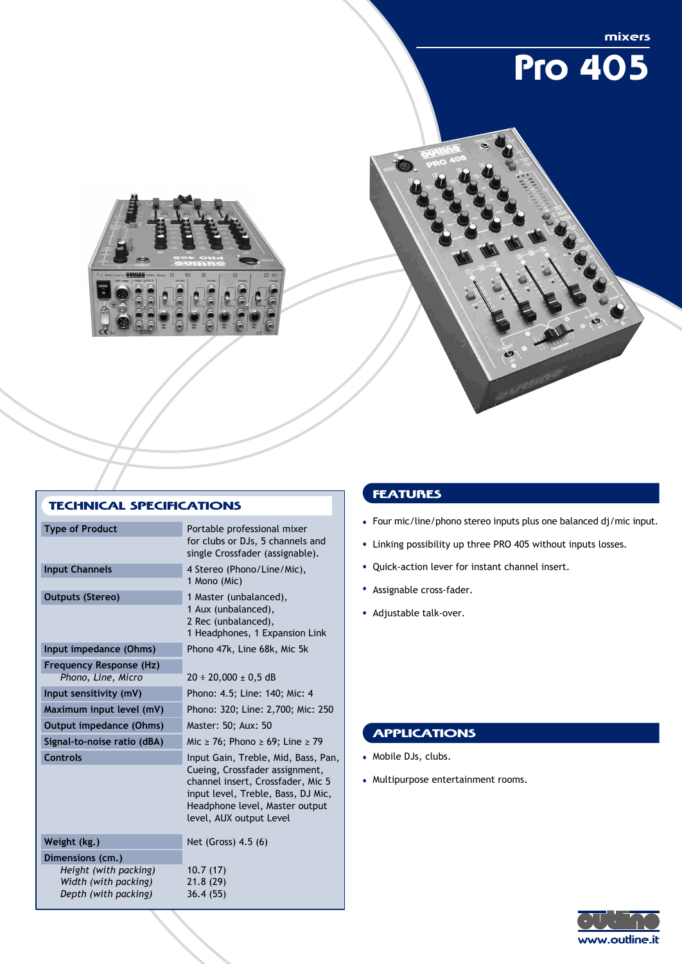

| for clubs or DJs, 5 channels and<br>single Crossfader (assignable).                                                                                                                |
|------------------------------------------------------------------------------------------------------------------------------------------------------------------------------------|
|                                                                                                                                                                                    |
| 1 Headphones, 1 Expansion Link                                                                                                                                                     |
|                                                                                                                                                                                    |
|                                                                                                                                                                                    |
|                                                                                                                                                                                    |
| Phono: 320; Line: 2,700; Mic: 250                                                                                                                                                  |
|                                                                                                                                                                                    |
| Mic $\geq$ 76; Phono $\geq$ 69; Line $\geq$ 79                                                                                                                                     |
| Input Gain, Treble, Mid, Bass, Pan,<br>Cueing, Crossfader assignment,<br>channel insert, Crossfader, Mic 5<br>input level, Treble, Bass, DJ Mic,<br>Headphone level, Master output |
|                                                                                                                                                                                    |
|                                                                                                                                                                                    |
|                                                                                                                                                                                    |
|                                                                                                                                                                                    |
|                                                                                                                                                                                    |

## **FEATURES**

- Four mic/line/phono stereo inputs plus one balanced dj/mic input.
- Linking possibility up three PRO 405 without inputs losses.
- Quick-action lever for instant channel insert.
- Assignable cross-fader.
- Adjustable talk-over.

## **APPLICATIONS**

- Mobile DJs, clubs.
- Multipurpose entertainment rooms.